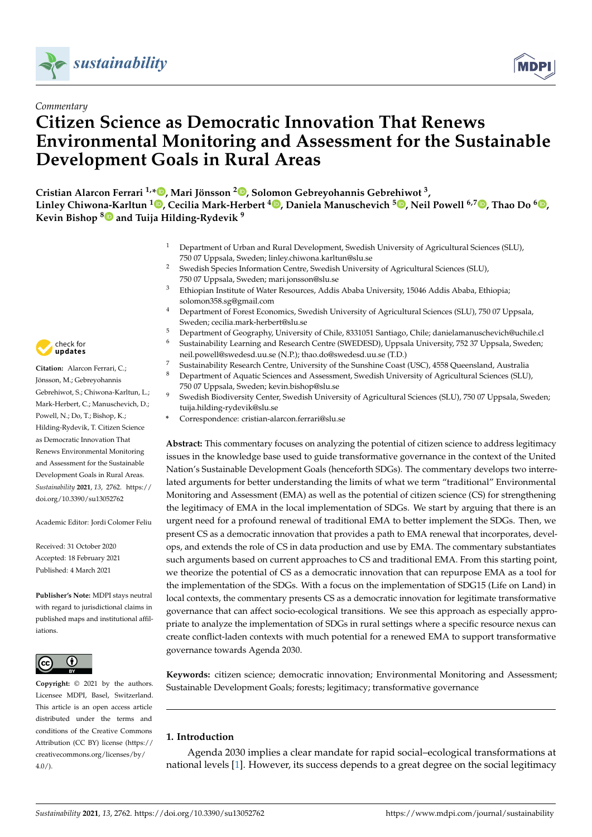



# **Citizen Science as Democratic Innovation That Renews Environmental Monitoring and Assessment for the Sustainable Development Goals in Rural Areas**

**Cristian Alarcon Ferrari 1,\* [,](https://orcid.org/0000-0003-3760-1830) Mari Jönsson <sup>2</sup> [,](https://orcid.org/0000-0002-5465-7820) Solomon Gebreyohannis Gebrehiwot <sup>3</sup> , Linley Chiwo[na-K](https://orcid.org/0000-0002-8057-1051)arltun <sup>1</sup> [,](https://orcid.org/0000-0003-2441-3814) Cecilia Mark-Herbert [4](https://orcid.org/0000-0001-7440-9106) , Daniela Manuschevich <sup>5</sup> [,](https://orcid.org/0000-0002-8949-4128) Neil Powell 6,7 [,](https://orcid.org/0000-0002-8665-2370) Thao Do <sup>6</sup> [,](https://orcid.org/0000-0002-5353-8918) Kevin Bishop <sup>8</sup> and Tuija Hilding-Rydevik <sup>9</sup>**

- <sup>1</sup> Department of Urban and Rural Development, Swedish University of Agricultural Sciences (SLU), 750 07 Uppsala, Sweden; linley.chiwona.karltun@slu.se
- <sup>2</sup> Swedish Species Information Centre, Swedish University of Agricultural Sciences (SLU), 750 07 Uppsala, Sweden; mari.jonsson@slu.se
- <sup>3</sup> Ethiopian Institute of Water Resources, Addis Ababa University, 15046 Addis Ababa, Ethiopia; solomon358.sg@gmail.com
- <sup>4</sup> Department of Forest Economics, Swedish University of Agricultural Sciences (SLU), 750 07 Uppsala, Sweden; cecilia.mark-herbert@slu.se
- <sup>5</sup> Department of Geography, University of Chile, 8331051 Santiago, Chile; danielamanuschevich@uchile.cl
- <sup>6</sup> Sustainability Learning and Research Centre (SWEDESD), Uppsala University, 752 37 Uppsala, Sweden; neil.powell@swedesd.uu.se (N.P.); thao.do@swedesd.uu.se (T.D.)
- <sup>7</sup> Sustainability Research Centre, University of the Sunshine Coast (USC), 4558 Queensland, Australia
- <sup>8</sup> Department of Aquatic Sciences and Assessment, Swedish University of Agricultural Sciences (SLU), 750 07 Uppsala, Sweden; kevin.bishop@slu.se
- <sup>9</sup> Swedish Biodiversity Center, Swedish University of Agricultural Sciences (SLU), 750 07 Uppsala, Sweden; tuija.hilding-rydevik@slu.se
	- **\*** Correspondence: cristian-alarcon.ferrari@slu.se

**Abstract:** This commentary focuses on analyzing the potential of citizen science to address legitimacy issues in the knowledge base used to guide transformative governance in the context of the United Nation's Sustainable Development Goals (henceforth SDGs). The commentary develops two interrelated arguments for better understanding the limits of what we term "traditional" Environmental Monitoring and Assessment (EMA) as well as the potential of citizen science (CS) for strengthening the legitimacy of EMA in the local implementation of SDGs. We start by arguing that there is an urgent need for a profound renewal of traditional EMA to better implement the SDGs. Then, we present CS as a democratic innovation that provides a path to EMA renewal that incorporates, develops, and extends the role of CS in data production and use by EMA. The commentary substantiates such arguments based on current approaches to CS and traditional EMA. From this starting point, we theorize the potential of CS as a democratic innovation that can repurpose EMA as a tool for the implementation of the SDGs. With a focus on the implementation of SDG15 (Life on Land) in local contexts, the commentary presents CS as a democratic innovation for legitimate transformative governance that can affect socio-ecological transitions. We see this approach as especially appropriate to analyze the implementation of SDGs in rural settings where a specific resource nexus can create conflict-laden contexts with much potential for a renewed EMA to support transformative governance towards Agenda 2030.

**Keywords:** citizen science; democratic innovation; Environmental Monitoring and Assessment; Sustainable Development Goals; forests; legitimacy; transformative governance

## **1. Introduction**

Agenda 2030 implies a clear mandate for rapid social–ecological transformations at national levels [\[1\]](#page-7-0). However, its success depends to a great degree on the social legitimacy



**Citation:** Alarcon Ferrari, C.; Jönsson, M.; Gebreyohannis Gebrehiwot, S.; Chiwona-Karltun, L.; Mark-Herbert, C.; Manuschevich, D.; Powell, N.; Do, T.; Bishop, K.; Hilding-Rydevik, T. Citizen Science as Democratic Innovation That Renews Environmental Monitoring and Assessment for the Sustainable Development Goals in Rural Areas. *Sustainability* **2021**, *13*, 2762. [https://](https://doi.org/10.3390/su13052762) [doi.org/10.3390/su13052762](https://doi.org/10.3390/su13052762)

Academic Editor: Jordi Colomer Feliu

Received: 31 October 2020 Accepted: 18 February 2021 Published: 4 March 2021

**Publisher's Note:** MDPI stays neutral with regard to jurisdictional claims in published maps and institutional affiliations.



**Copyright:** © 2021 by the authors. Licensee MDPI, Basel, Switzerland. This article is an open access article distributed under the terms and conditions of the Creative Commons Attribution (CC BY) license (https:/[/](https://creativecommons.org/licenses/by/4.0/) [creativecommons.org/licenses/by/](https://creativecommons.org/licenses/by/4.0/)  $4.0/$ ).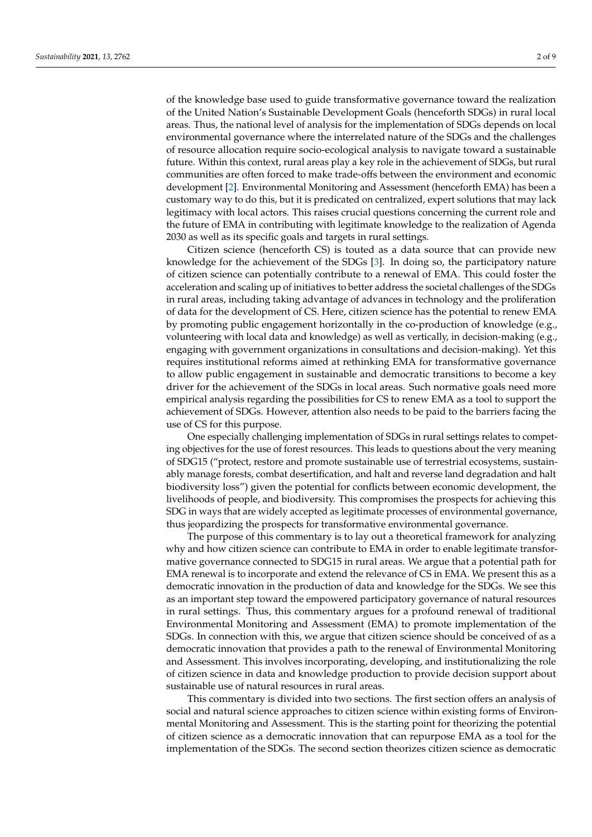of the knowledge base used to guide transformative governance toward the realization of the United Nation's Sustainable Development Goals (henceforth SDGs) in rural local areas. Thus, the national level of analysis for the implementation of SDGs depends on local environmental governance where the interrelated nature of the SDGs and the challenges of resource allocation require socio-ecological analysis to navigate toward a sustainable future. Within this context, rural areas play a key role in the achievement of SDGs, but rural communities are often forced to make trade-offs between the environment and economic development [\[2\]](#page-7-1). Environmental Monitoring and Assessment (henceforth EMA) has been a customary way to do this, but it is predicated on centralized, expert solutions that may lack legitimacy with local actors. This raises crucial questions concerning the current role and the future of EMA in contributing with legitimate knowledge to the realization of Agenda 2030 as well as its specific goals and targets in rural settings.

Citizen science (henceforth CS) is touted as a data source that can provide new knowledge for the achievement of the SDGs [\[3\]](#page-7-2). In doing so, the participatory nature of citizen science can potentially contribute to a renewal of EMA. This could foster the acceleration and scaling up of initiatives to better address the societal challenges of the SDGs in rural areas, including taking advantage of advances in technology and the proliferation of data for the development of CS. Here, citizen science has the potential to renew EMA by promoting public engagement horizontally in the co-production of knowledge (e.g., volunteering with local data and knowledge) as well as vertically, in decision-making (e.g., engaging with government organizations in consultations and decision-making). Yet this requires institutional reforms aimed at rethinking EMA for transformative governance to allow public engagement in sustainable and democratic transitions to become a key driver for the achievement of the SDGs in local areas. Such normative goals need more empirical analysis regarding the possibilities for CS to renew EMA as a tool to support the achievement of SDGs. However, attention also needs to be paid to the barriers facing the use of CS for this purpose.

One especially challenging implementation of SDGs in rural settings relates to competing objectives for the use of forest resources. This leads to questions about the very meaning of SDG15 ("protect, restore and promote sustainable use of terrestrial ecosystems, sustainably manage forests, combat desertification, and halt and reverse land degradation and halt biodiversity loss") given the potential for conflicts between economic development, the livelihoods of people, and biodiversity. This compromises the prospects for achieving this SDG in ways that are widely accepted as legitimate processes of environmental governance, thus jeopardizing the prospects for transformative environmental governance.

The purpose of this commentary is to lay out a theoretical framework for analyzing why and how citizen science can contribute to EMA in order to enable legitimate transformative governance connected to SDG15 in rural areas. We argue that a potential path for EMA renewal is to incorporate and extend the relevance of CS in EMA. We present this as a democratic innovation in the production of data and knowledge for the SDGs. We see this as an important step toward the empowered participatory governance of natural resources in rural settings. Thus, this commentary argues for a profound renewal of traditional Environmental Monitoring and Assessment (EMA) to promote implementation of the SDGs. In connection with this, we argue that citizen science should be conceived of as a democratic innovation that provides a path to the renewal of Environmental Monitoring and Assessment. This involves incorporating, developing, and institutionalizing the role of citizen science in data and knowledge production to provide decision support about sustainable use of natural resources in rural areas.

This commentary is divided into two sections. The first section offers an analysis of social and natural science approaches to citizen science within existing forms of Environmental Monitoring and Assessment. This is the starting point for theorizing the potential of citizen science as a democratic innovation that can repurpose EMA as a tool for the implementation of the SDGs. The second section theorizes citizen science as democratic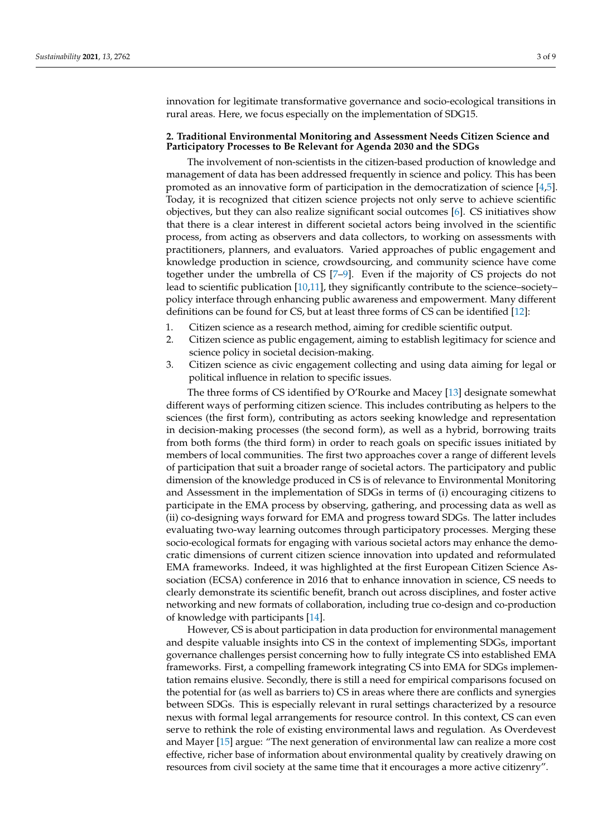innovation for legitimate transformative governance and socio-ecological transitions in rural areas. Here, we focus especially on the implementation of SDG15.

#### **2. Traditional Environmental Monitoring and Assessment Needs Citizen Science and Participatory Processes to Be Relevant for Agenda 2030 and the SDGs**

The involvement of non-scientists in the citizen-based production of knowledge and management of data has been addressed frequently in science and policy. This has been promoted as an innovative form of participation in the democratization of science [\[4,](#page-7-3)[5\]](#page-7-4). Today, it is recognized that citizen science projects not only serve to achieve scientific objectives, but they can also realize significant social outcomes [\[6\]](#page-7-5). CS initiatives show that there is a clear interest in different societal actors being involved in the scientific process, from acting as observers and data collectors, to working on assessments with practitioners, planners, and evaluators. Varied approaches of public engagement and knowledge production in science, crowdsourcing, and community science have come together under the umbrella of CS [\[7](#page-7-6)[–9\]](#page-7-7). Even if the majority of CS projects do not lead to scientific publication [\[10](#page-7-8)[,11\]](#page-7-9), they significantly contribute to the science-societypolicy interface through enhancing public awareness and empowerment. Many different definitions can be found for CS, but at least three forms of CS can be identified [\[12\]](#page-7-10):

- 1. Citizen science as a research method, aiming for credible scientific output.
- 2. Citizen science as public engagement, aiming to establish legitimacy for science and science policy in societal decision-making.
- 3. Citizen science as civic engagement collecting and using data aiming for legal or political influence in relation to specific issues.

The three forms of CS identified by O'Rourke and Macey [\[13\]](#page-7-11) designate somewhat different ways of performing citizen science. This includes contributing as helpers to the sciences (the first form), contributing as actors seeking knowledge and representation in decision-making processes (the second form), as well as a hybrid, borrowing traits from both forms (the third form) in order to reach goals on specific issues initiated by members of local communities. The first two approaches cover a range of different levels of participation that suit a broader range of societal actors. The participatory and public dimension of the knowledge produced in CS is of relevance to Environmental Monitoring and Assessment in the implementation of SDGs in terms of (i) encouraging citizens to participate in the EMA process by observing, gathering, and processing data as well as (ii) co-designing ways forward for EMA and progress toward SDGs. The latter includes evaluating two-way learning outcomes through participatory processes. Merging these socio-ecological formats for engaging with various societal actors may enhance the democratic dimensions of current citizen science innovation into updated and reformulated EMA frameworks. Indeed, it was highlighted at the first European Citizen Science Association (ECSA) conference in 2016 that to enhance innovation in science, CS needs to clearly demonstrate its scientific benefit, branch out across disciplines, and foster active networking and new formats of collaboration, including true co-design and co-production of knowledge with participants [\[14\]](#page-8-0).

However, CS is about participation in data production for environmental management and despite valuable insights into CS in the context of implementing SDGs, important governance challenges persist concerning how to fully integrate CS into established EMA frameworks. First, a compelling framework integrating CS into EMA for SDGs implementation remains elusive. Secondly, there is still a need for empirical comparisons focused on the potential for (as well as barriers to) CS in areas where there are conflicts and synergies between SDGs. This is especially relevant in rural settings characterized by a resource nexus with formal legal arrangements for resource control. In this context, CS can even serve to rethink the role of existing environmental laws and regulation. As Overdevest and Mayer [\[15\]](#page-8-1) argue: "The next generation of environmental law can realize a more cost effective, richer base of information about environmental quality by creatively drawing on resources from civil society at the same time that it encourages a more active citizenry".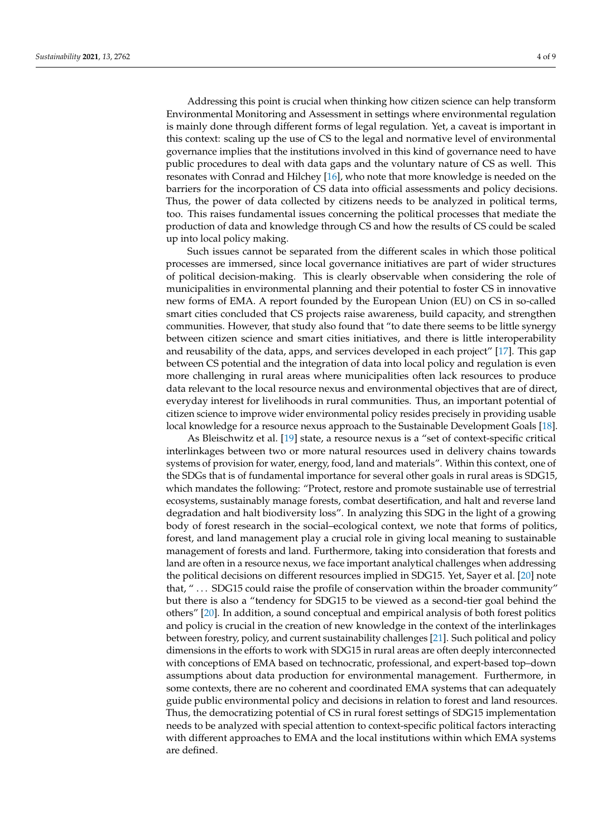Addressing this point is crucial when thinking how citizen science can help transform Environmental Monitoring and Assessment in settings where environmental regulation is mainly done through different forms of legal regulation. Yet, a caveat is important in this context: scaling up the use of CS to the legal and normative level of environmental governance implies that the institutions involved in this kind of governance need to have public procedures to deal with data gaps and the voluntary nature of CS as well. This resonates with Conrad and Hilchey [\[16\]](#page-8-2), who note that more knowledge is needed on the barriers for the incorporation of CS data into official assessments and policy decisions. Thus, the power of data collected by citizens needs to be analyzed in political terms, too. This raises fundamental issues concerning the political processes that mediate the production of data and knowledge through CS and how the results of CS could be scaled up into local policy making.

Such issues cannot be separated from the different scales in which those political processes are immersed, since local governance initiatives are part of wider structures of political decision-making. This is clearly observable when considering the role of municipalities in environmental planning and their potential to foster CS in innovative new forms of EMA. A report founded by the European Union (EU) on CS in so-called smart cities concluded that CS projects raise awareness, build capacity, and strengthen communities. However, that study also found that "to date there seems to be little synergy between citizen science and smart cities initiatives, and there is little interoperability and reusability of the data, apps, and services developed in each project" [\[17\]](#page-8-3). This gap between CS potential and the integration of data into local policy and regulation is even more challenging in rural areas where municipalities often lack resources to produce data relevant to the local resource nexus and environmental objectives that are of direct, everyday interest for livelihoods in rural communities. Thus, an important potential of citizen science to improve wider environmental policy resides precisely in providing usable local knowledge for a resource nexus approach to the Sustainable Development Goals [\[18\]](#page-8-4).

As Bleischwitz et al. [\[19\]](#page-8-5) state, a resource nexus is a "set of context-specific critical interlinkages between two or more natural resources used in delivery chains towards systems of provision for water, energy, food, land and materials". Within this context, one of the SDGs that is of fundamental importance for several other goals in rural areas is SDG15, which mandates the following: "Protect, restore and promote sustainable use of terrestrial ecosystems, sustainably manage forests, combat desertification, and halt and reverse land degradation and halt biodiversity loss". In analyzing this SDG in the light of a growing body of forest research in the social–ecological context, we note that forms of politics, forest, and land management play a crucial role in giving local meaning to sustainable management of forests and land. Furthermore, taking into consideration that forests and land are often in a resource nexus, we face important analytical challenges when addressing the political decisions on different resources implied in SDG15. Yet, Sayer et al. [\[20\]](#page-8-6) note that, "... SDG15 could raise the profile of conservation within the broader community" but there is also a "tendency for SDG15 to be viewed as a second-tier goal behind the others" [\[20\]](#page-8-6). In addition, a sound conceptual and empirical analysis of both forest politics and policy is crucial in the creation of new knowledge in the context of the interlinkages between forestry, policy, and current sustainability challenges [\[21\]](#page-8-7). Such political and policy dimensions in the efforts to work with SDG15 in rural areas are often deeply interconnected with conceptions of EMA based on technocratic, professional, and expert-based top–down assumptions about data production for environmental management. Furthermore, in some contexts, there are no coherent and coordinated EMA systems that can adequately guide public environmental policy and decisions in relation to forest and land resources. Thus, the democratizing potential of CS in rural forest settings of SDG15 implementation needs to be analyzed with special attention to context-specific political factors interacting with different approaches to EMA and the local institutions within which EMA systems are defined.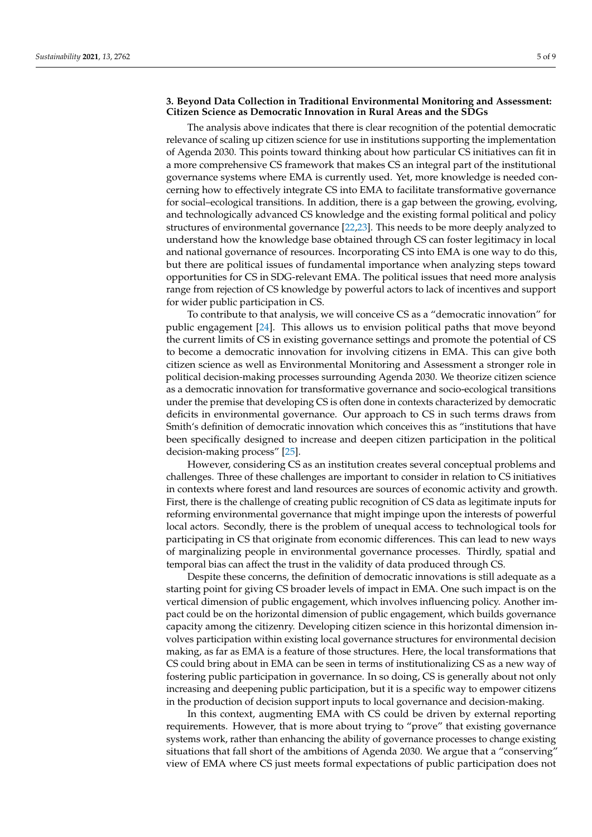### **3. Beyond Data Collection in Traditional Environmental Monitoring and Assessment: Citizen Science as Democratic Innovation in Rural Areas and the SDGs**

The analysis above indicates that there is clear recognition of the potential democratic relevance of scaling up citizen science for use in institutions supporting the implementation of Agenda 2030. This points toward thinking about how particular CS initiatives can fit in a more comprehensive CS framework that makes CS an integral part of the institutional governance systems where EMA is currently used. Yet, more knowledge is needed concerning how to effectively integrate CS into EMA to facilitate transformative governance for social–ecological transitions. In addition, there is a gap between the growing, evolving, and technologically advanced CS knowledge and the existing formal political and policy structures of environmental governance [\[22](#page-8-8)[,23\]](#page-8-9). This needs to be more deeply analyzed to understand how the knowledge base obtained through CS can foster legitimacy in local and national governance of resources. Incorporating CS into EMA is one way to do this, but there are political issues of fundamental importance when analyzing steps toward opportunities for CS in SDG-relevant EMA. The political issues that need more analysis range from rejection of CS knowledge by powerful actors to lack of incentives and support for wider public participation in CS.

To contribute to that analysis, we will conceive CS as a "democratic innovation" for public engagement [\[24\]](#page-8-10). This allows us to envision political paths that move beyond the current limits of CS in existing governance settings and promote the potential of CS to become a democratic innovation for involving citizens in EMA. This can give both citizen science as well as Environmental Monitoring and Assessment a stronger role in political decision-making processes surrounding Agenda 2030. We theorize citizen science as a democratic innovation for transformative governance and socio-ecological transitions under the premise that developing CS is often done in contexts characterized by democratic deficits in environmental governance. Our approach to CS in such terms draws from Smith's definition of democratic innovation which conceives this as "institutions that have been specifically designed to increase and deepen citizen participation in the political decision-making process" [\[25\]](#page-8-11).

However, considering CS as an institution creates several conceptual problems and challenges. Three of these challenges are important to consider in relation to CS initiatives in contexts where forest and land resources are sources of economic activity and growth. First, there is the challenge of creating public recognition of CS data as legitimate inputs for reforming environmental governance that might impinge upon the interests of powerful local actors. Secondly, there is the problem of unequal access to technological tools for participating in CS that originate from economic differences. This can lead to new ways of marginalizing people in environmental governance processes. Thirdly, spatial and temporal bias can affect the trust in the validity of data produced through CS.

Despite these concerns, the definition of democratic innovations is still adequate as a starting point for giving CS broader levels of impact in EMA. One such impact is on the vertical dimension of public engagement, which involves influencing policy. Another impact could be on the horizontal dimension of public engagement, which builds governance capacity among the citizenry. Developing citizen science in this horizontal dimension involves participation within existing local governance structures for environmental decision making, as far as EMA is a feature of those structures. Here, the local transformations that CS could bring about in EMA can be seen in terms of institutionalizing CS as a new way of fostering public participation in governance. In so doing, CS is generally about not only increasing and deepening public participation, but it is a specific way to empower citizens in the production of decision support inputs to local governance and decision-making.

In this context, augmenting EMA with CS could be driven by external reporting requirements. However, that is more about trying to "prove" that existing governance systems work, rather than enhancing the ability of governance processes to change existing situations that fall short of the ambitions of Agenda 2030. We argue that a "conserving" view of EMA where CS just meets formal expectations of public participation does not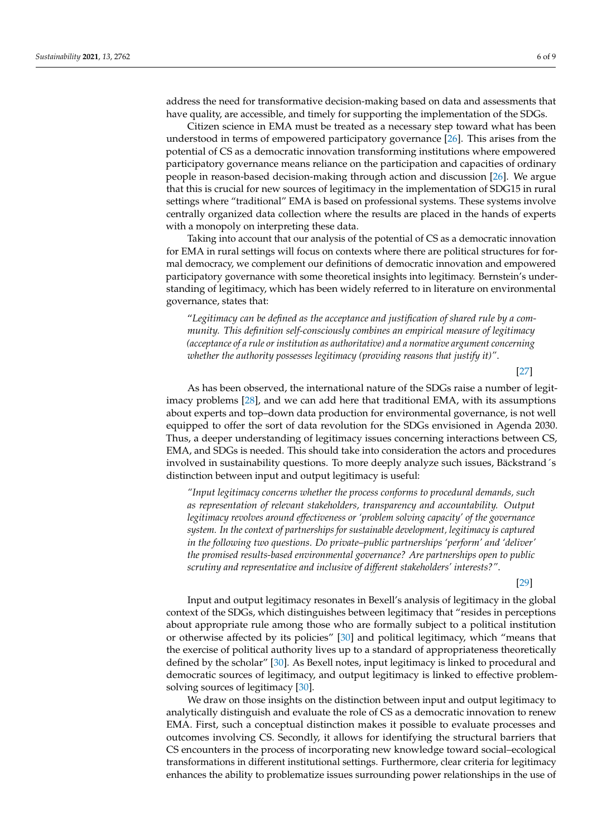address the need for transformative decision-making based on data and assessments that have quality, are accessible, and timely for supporting the implementation of the SDGs.

Citizen science in EMA must be treated as a necessary step toward what has been understood in terms of empowered participatory governance [\[26\]](#page-8-12). This arises from the potential of CS as a democratic innovation transforming institutions where empowered participatory governance means reliance on the participation and capacities of ordinary people in reason-based decision-making through action and discussion [\[26\]](#page-8-12). We argue that this is crucial for new sources of legitimacy in the implementation of SDG15 in rural settings where "traditional" EMA is based on professional systems. These systems involve centrally organized data collection where the results are placed in the hands of experts with a monopoly on interpreting these data.

Taking into account that our analysis of the potential of CS as a democratic innovation for EMA in rural settings will focus on contexts where there are political structures for formal democracy, we complement our definitions of democratic innovation and empowered participatory governance with some theoretical insights into legitimacy. Bernstein's understanding of legitimacy, which has been widely referred to in literature on environmental governance, states that:

"*Legitimacy can be defined as the acceptance and justification of shared rule by a community. This definition self-consciously combines an empirical measure of legitimacy (acceptance of a rule or institution as authoritative) and a normative argument concerning whether the authority possesses legitimacy (providing reasons that justify it)"*.

[\[27\]](#page-8-13)

As has been observed, the international nature of the SDGs raise a number of legitimacy problems [\[28\]](#page-8-14), and we can add here that traditional EMA, with its assumptions about experts and top–down data production for environmental governance, is not well equipped to offer the sort of data revolution for the SDGs envisioned in Agenda 2030. Thus, a deeper understanding of legitimacy issues concerning interactions between CS, EMA, and SDGs is needed. This should take into consideration the actors and procedures involved in sustainability questions. To more deeply analyze such issues, Bäckstrand´s distinction between input and output legitimacy is useful:

*"Input legitimacy concerns whether the process conforms to procedural demands, such as representation of relevant stakeholders, transparency and accountability. Output legitimacy revolves around effectiveness or 'problem solving capacity' of the governance system. In the context of partnerships for sustainable development, legitimacy is captured in the following two questions. Do private–public partnerships 'perform' and 'deliver' the promised results-based environmental governance? Are partnerships open to public scrutiny and representative and inclusive of different stakeholders' interests?"*.

[\[29\]](#page-8-15)

Input and output legitimacy resonates in Bexell's analysis of legitimacy in the global context of the SDGs, which distinguishes between legitimacy that "resides in perceptions about appropriate rule among those who are formally subject to a political institution or otherwise affected by its policies" [\[30\]](#page-8-16) and political legitimacy, which "means that the exercise of political authority lives up to a standard of appropriateness theoretically defined by the scholar" [\[30\]](#page-8-16). As Bexell notes, input legitimacy is linked to procedural and democratic sources of legitimacy, and output legitimacy is linked to effective problemsolving sources of legitimacy [\[30\]](#page-8-16).

We draw on those insights on the distinction between input and output legitimacy to analytically distinguish and evaluate the role of CS as a democratic innovation to renew EMA. First, such a conceptual distinction makes it possible to evaluate processes and outcomes involving CS. Secondly, it allows for identifying the structural barriers that CS encounters in the process of incorporating new knowledge toward social–ecological transformations in different institutional settings. Furthermore, clear criteria for legitimacy enhances the ability to problematize issues surrounding power relationships in the use of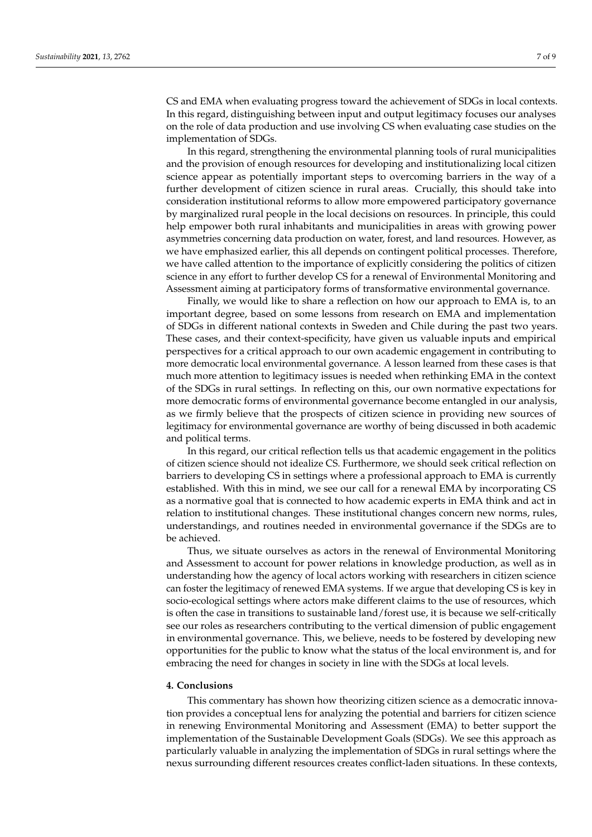CS and EMA when evaluating progress toward the achievement of SDGs in local contexts. In this regard, distinguishing between input and output legitimacy focuses our analyses on the role of data production and use involving CS when evaluating case studies on the implementation of SDGs.

In this regard, strengthening the environmental planning tools of rural municipalities and the provision of enough resources for developing and institutionalizing local citizen science appear as potentially important steps to overcoming barriers in the way of a further development of citizen science in rural areas. Crucially, this should take into consideration institutional reforms to allow more empowered participatory governance by marginalized rural people in the local decisions on resources. In principle, this could help empower both rural inhabitants and municipalities in areas with growing power asymmetries concerning data production on water, forest, and land resources. However, as we have emphasized earlier, this all depends on contingent political processes. Therefore, we have called attention to the importance of explicitly considering the politics of citizen science in any effort to further develop CS for a renewal of Environmental Monitoring and Assessment aiming at participatory forms of transformative environmental governance.

Finally, we would like to share a reflection on how our approach to EMA is, to an important degree, based on some lessons from research on EMA and implementation of SDGs in different national contexts in Sweden and Chile during the past two years. These cases, and their context-specificity, have given us valuable inputs and empirical perspectives for a critical approach to our own academic engagement in contributing to more democratic local environmental governance. A lesson learned from these cases is that much more attention to legitimacy issues is needed when rethinking EMA in the context of the SDGs in rural settings. In reflecting on this, our own normative expectations for more democratic forms of environmental governance become entangled in our analysis, as we firmly believe that the prospects of citizen science in providing new sources of legitimacy for environmental governance are worthy of being discussed in both academic and political terms.

In this regard, our critical reflection tells us that academic engagement in the politics of citizen science should not idealize CS. Furthermore, we should seek critical reflection on barriers to developing CS in settings where a professional approach to EMA is currently established. With this in mind, we see our call for a renewal EMA by incorporating CS as a normative goal that is connected to how academic experts in EMA think and act in relation to institutional changes. These institutional changes concern new norms, rules, understandings, and routines needed in environmental governance if the SDGs are to be achieved.

Thus, we situate ourselves as actors in the renewal of Environmental Monitoring and Assessment to account for power relations in knowledge production, as well as in understanding how the agency of local actors working with researchers in citizen science can foster the legitimacy of renewed EMA systems. If we argue that developing CS is key in socio-ecological settings where actors make different claims to the use of resources, which is often the case in transitions to sustainable land/forest use, it is because we self-critically see our roles as researchers contributing to the vertical dimension of public engagement in environmental governance. This, we believe, needs to be fostered by developing new opportunities for the public to know what the status of the local environment is, and for embracing the need for changes in society in line with the SDGs at local levels.

#### **4. Conclusions**

This commentary has shown how theorizing citizen science as a democratic innovation provides a conceptual lens for analyzing the potential and barriers for citizen science in renewing Environmental Monitoring and Assessment (EMA) to better support the implementation of the Sustainable Development Goals (SDGs). We see this approach as particularly valuable in analyzing the implementation of SDGs in rural settings where the nexus surrounding different resources creates conflict-laden situations. In these contexts,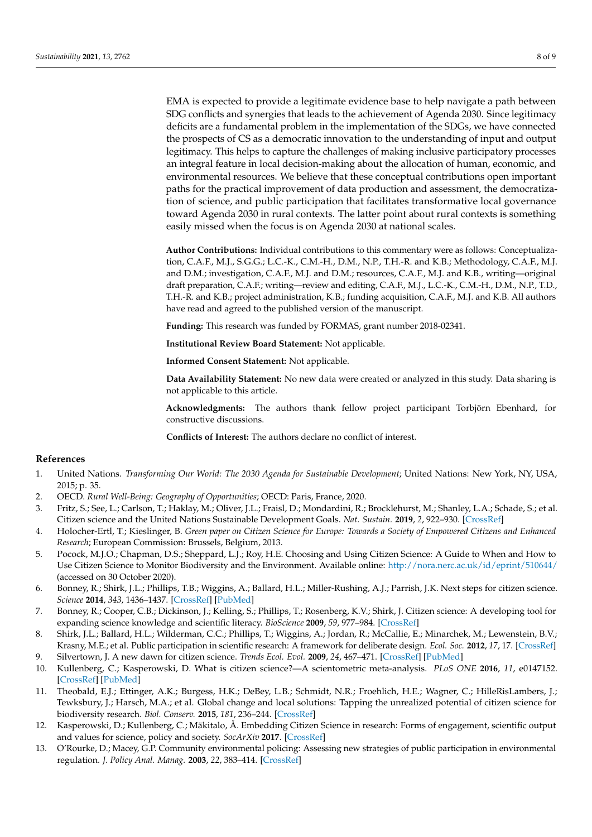EMA is expected to provide a legitimate evidence base to help navigate a path between SDG conflicts and synergies that leads to the achievement of Agenda 2030. Since legitimacy deficits are a fundamental problem in the implementation of the SDGs, we have connected the prospects of CS as a democratic innovation to the understanding of input and output legitimacy. This helps to capture the challenges of making inclusive participatory processes an integral feature in local decision-making about the allocation of human, economic, and environmental resources. We believe that these conceptual contributions open important paths for the practical improvement of data production and assessment, the democratization of science, and public participation that facilitates transformative local governance toward Agenda 2030 in rural contexts. The latter point about rural contexts is something easily missed when the focus is on Agenda 2030 at national scales.

**Author Contributions:** Individual contributions to this commentary were as follows: Conceptualization, C.A.F., M.J., S.G.G.; L.C.-K., C.M.-H., D.M., N.P., T.H.-R. and K.B.; Methodology, C.A.F., M.J. and D.M.; investigation, C.A.F., M.J. and D.M.; resources, C.A.F., M.J. and K.B., writing—original draft preparation, C.A.F.; writing—review and editing, C.A.F., M.J., L.C.-K., C.M.-H., D.M., N.P., T.D., T.H.-R. and K.B.; project administration, K.B.; funding acquisition, C.A.F., M.J. and K.B. All authors have read and agreed to the published version of the manuscript.

**Funding:** This research was funded by FORMAS, grant number 2018-02341.

**Institutional Review Board Statement:** Not applicable.

**Informed Consent Statement:** Not applicable.

**Data Availability Statement:** No new data were created or analyzed in this study. Data sharing is not applicable to this article.

**Acknowledgments:** The authors thank fellow project participant Torbjörn Ebenhard, for constructive discussions.

**Conflicts of Interest:** The authors declare no conflict of interest.

#### **References**

- <span id="page-7-0"></span>1. United Nations. *Transforming Our World: The 2030 Agenda for Sustainable Development*; United Nations: New York, NY, USA, 2015; p. 35.
- <span id="page-7-1"></span>2. OECD. *Rural Well-Being: Geography of Opportunities*; OECD: Paris, France, 2020.
- <span id="page-7-2"></span>3. Fritz, S.; See, L.; Carlson, T.; Haklay, M.; Oliver, J.L.; Fraisl, D.; Mondardini, R.; Brocklehurst, M.; Shanley, L.A.; Schade, S.; et al. Citizen science and the United Nations Sustainable Development Goals. *Nat. Sustain.* **2019**, *2*, 922–930. [\[CrossRef\]](http://doi.org/10.1038/s41893-019-0390-3)
- <span id="page-7-3"></span>4. Holocher-Ertl, T.; Kieslinger, B. *Green paper on Citizen Science for Europe: Towards a Society of Empowered Citizens and Enhanced Research*; European Commission: Brussels, Belgium, 2013.
- <span id="page-7-4"></span>5. Pocock, M.J.O.; Chapman, D.S.; Sheppard, L.J.; Roy, H.E. Choosing and Using Citizen Science: A Guide to When and How to Use Citizen Science to Monitor Biodiversity and the Environment. Available online: <http://nora.nerc.ac.uk/id/eprint/510644/> (accessed on 30 October 2020).
- <span id="page-7-5"></span>6. Bonney, R.; Shirk, J.L.; Phillips, T.B.; Wiggins, A.; Ballard, H.L.; Miller-Rushing, A.J.; Parrish, J.K. Next steps for citizen science. *Science* **2014**, *343*, 1436–1437. [\[CrossRef\]](http://doi.org/10.1126/science.1251554) [\[PubMed\]](http://www.ncbi.nlm.nih.gov/pubmed/24675940)
- <span id="page-7-6"></span>7. Bonney, R.; Cooper, C.B.; Dickinson, J.; Kelling, S.; Phillips, T.; Rosenberg, K.V.; Shirk, J. Citizen science: A developing tool for expanding science knowledge and scientific literacy. *BioScience* **2009**, *59*, 977–984. [\[CrossRef\]](http://doi.org/10.1525/bio.2009.59.11.9)
- 8. Shirk, J.L.; Ballard, H.L.; Wilderman, C.C.; Phillips, T.; Wiggins, A.; Jordan, R.; McCallie, E.; Minarchek, M.; Lewenstein, B.V.; Krasny, M.E.; et al. Public participation in scientific research: A framework for deliberate design. *Ecol. Soc.* **2012**, *17*, 17. [\[CrossRef\]](http://doi.org/10.5751/ES-04705-170229)
- <span id="page-7-7"></span>9. Silvertown, J. A new dawn for citizen science. *Trends Ecol. Evol.* **2009**, *24*, 467–471. [\[CrossRef\]](http://doi.org/10.1016/j.tree.2009.03.017) [\[PubMed\]](http://www.ncbi.nlm.nih.gov/pubmed/19586682)
- <span id="page-7-8"></span>10. Kullenberg, C.; Kasperowski, D. What is citizen science?—A scientometric meta-analysis. *PLoS ONE* **2016**, *11*, e0147152. [\[CrossRef\]](http://doi.org/10.1371/journal.pone.0147152) [\[PubMed\]](http://www.ncbi.nlm.nih.gov/pubmed/26766577)
- <span id="page-7-9"></span>11. Theobald, E.J.; Ettinger, A.K.; Burgess, H.K.; DeBey, L.B.; Schmidt, N.R.; Froehlich, H.E.; Wagner, C.; HilleRisLambers, J.; Tewksbury, J.; Harsch, M.A.; et al. Global change and local solutions: Tapping the unrealized potential of citizen science for biodiversity research. *Biol. Conserv.* **2015**, *181*, 236–244. [\[CrossRef\]](http://doi.org/10.1016/j.biocon.2014.10.021)
- <span id="page-7-10"></span>12. Kasperowski, D.; Kullenberg, C.; Mäkitalo, Å. Embedding Citizen Science in research: Forms of engagement, scientific output and values for science, policy and society. *SocArXiv* **2017**. [\[CrossRef\]](http://doi.org/10.31235/osf.io/tfsgh)
- <span id="page-7-11"></span>13. O'Rourke, D.; Macey, G.P. Community environmental policing: Assessing new strategies of public participation in environmental regulation. *J. Policy Anal. Manag.* **2003**, *22*, 383–414. [\[CrossRef\]](http://doi.org/10.1002/pam.10138)